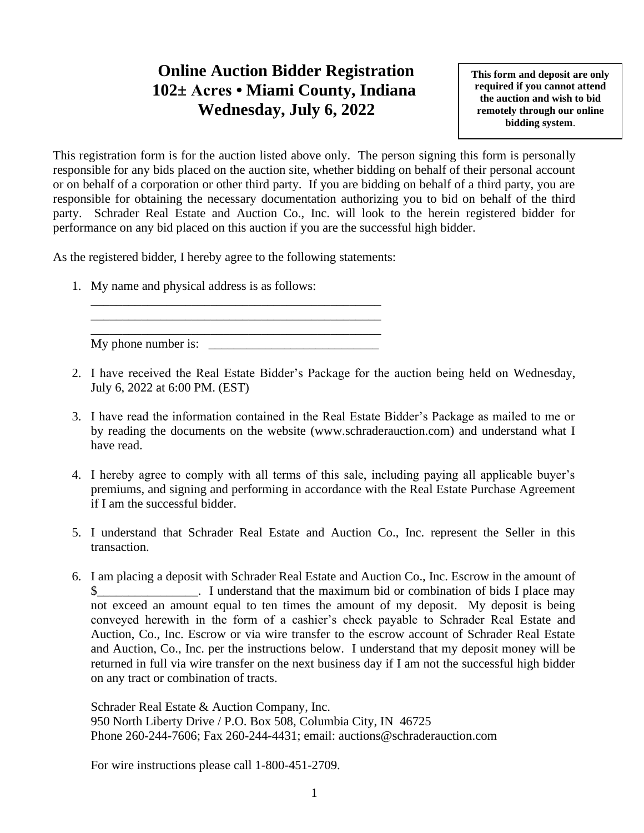## **Online Auction Bidder Registration 102± Acres • Miami County, Indiana Wednesday, July 6, 2022**

**This form and deposit are only required if you cannot attend the auction and wish to bid remotely through our online bidding system**.

This registration form is for the auction listed above only. The person signing this form is personally responsible for any bids placed on the auction site, whether bidding on behalf of their personal account or on behalf of a corporation or other third party. If you are bidding on behalf of a third party, you are responsible for obtaining the necessary documentation authorizing you to bid on behalf of the third party. Schrader Real Estate and Auction Co., Inc. will look to the herein registered bidder for performance on any bid placed on this auction if you are the successful high bidder.

As the registered bidder, I hereby agree to the following statements:

\_\_\_\_\_\_\_\_\_\_\_\_\_\_\_\_\_\_\_\_\_\_\_\_\_\_\_\_\_\_\_\_\_\_\_\_\_\_\_\_\_\_\_\_\_\_ \_\_\_\_\_\_\_\_\_\_\_\_\_\_\_\_\_\_\_\_\_\_\_\_\_\_\_\_\_\_\_\_\_\_\_\_\_\_\_\_\_\_\_\_\_\_

1. My name and physical address is as follows:

\_\_\_\_\_\_\_\_\_\_\_\_\_\_\_\_\_\_\_\_\_\_\_\_\_\_\_\_\_\_\_\_\_\_\_\_\_\_\_\_\_\_\_\_\_\_ My phone number is:

- 2. I have received the Real Estate Bidder's Package for the auction being held on Wednesday, July 6, 2022 at 6:00 PM. (EST)
- 3. I have read the information contained in the Real Estate Bidder's Package as mailed to me or by reading the documents on the website (www.schraderauction.com) and understand what I have read.
- 4. I hereby agree to comply with all terms of this sale, including paying all applicable buyer's premiums, and signing and performing in accordance with the Real Estate Purchase Agreement if I am the successful bidder.
- 5. I understand that Schrader Real Estate and Auction Co., Inc. represent the Seller in this transaction.
- 6. I am placing a deposit with Schrader Real Estate and Auction Co., Inc. Escrow in the amount of I understand that the maximum bid or combination of bids I place may not exceed an amount equal to ten times the amount of my deposit. My deposit is being conveyed herewith in the form of a cashier's check payable to Schrader Real Estate and Auction, Co., Inc. Escrow or via wire transfer to the escrow account of Schrader Real Estate and Auction, Co., Inc. per the instructions below. I understand that my deposit money will be returned in full via wire transfer on the next business day if I am not the successful high bidder on any tract or combination of tracts.

Schrader Real Estate & Auction Company, Inc. 950 North Liberty Drive / P.O. Box 508, Columbia City, IN 46725 Phone 260-244-7606; Fax 260-244-4431; email: auctions@schraderauction.com

For wire instructions please call 1-800-451-2709.